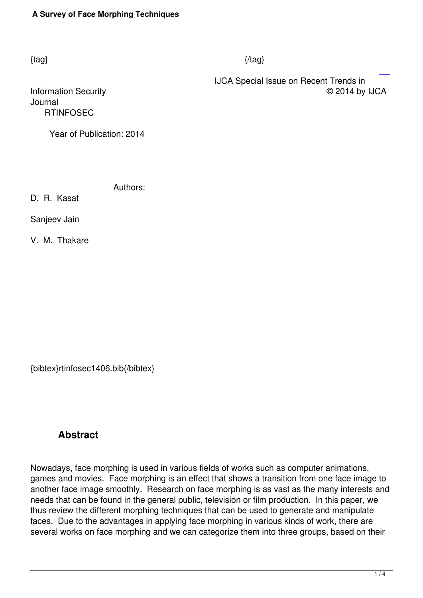#### $\{tag\}$

 IJCA Special Issue on Recent Trends in Information Security © 2014 by IJCA

Journal  [R](http://research.ijcaonline.org/rtinfosec/number1/rtinfosec1406.pdf)TINFOSEC

Year of Publication: 2014

Authors:

D. R. Kasat

Sanjeev Jain

V. M. Thakare

{bibtex}rtinfosec1406.bib{/bibtex}

# **Abstract**

Nowadays, face morphing is used in various fields of works such as computer animations, games and movies. Face morphing is an effect that shows a transition from one face image to another face image smoothly. Research on face morphing is as vast as the many interests and needs that can be found in the general public, television or film production. In this paper, we thus review the different morphing techniques that can be used to generate and manipulate faces. Due to the advantages in applying face morphing in various kinds of work, there are several works on face morphing and we can categorize them into three groups, based on their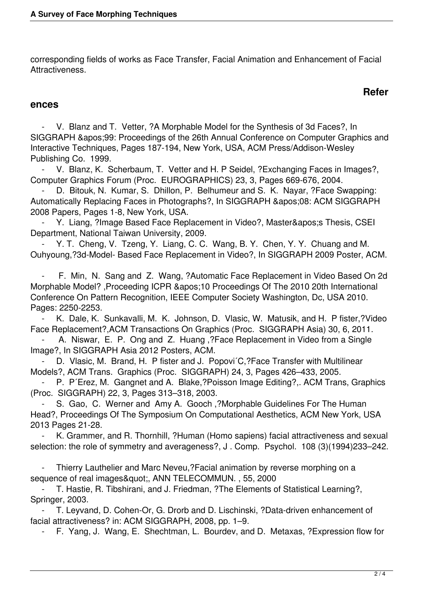corresponding fields of works as Face Transfer, Facial Animation and Enhancement of Facial Attractiveness.

## **Refer**

#### **ences**

V. Blanz and T. Vetter, ?A Morphable Model for the Synthesis of 3d Faces?, In SIGGRAPH '99: Proceedings of the 26th Annual Conference on Computer Graphics and Interactive Techniques, Pages 187-194, New York, USA, ACM Press/Addison-Wesley Publishing Co. 1999.

 - V. Blanz, K. Scherbaum, T. Vetter and H. P Seidel, ?Exchanging Faces in Images?, Computer Graphics Forum (Proc. EUROGRAPHICS) 23, 3, Pages 669-676, 2004.

D. Bitouk, N. Kumar, S. Dhillon, P. Belhumeur and S. K. Nayar, ?Face Swapping: Automatically Replacing Faces in Photographs?, In SIGGRAPH & apos; 08: ACM SIGGRAPH 2008 Papers, Pages 1-8, New York, USA.

Y. Liang, ?Image Based Face Replacement in Video?, Master's Thesis, CSEI Department, National Taiwan University, 2009.

Y. T. Cheng, V. Tzeng, Y. Liang, C. C. Wang, B. Y. Chen, Y. Y. Chuang and M. Ouhyoung,?3d-Model- Based Face Replacement in Video?, In SIGGRAPH 2009 Poster, ACM.

 - F. Min, N. Sang and Z. Wang, ?Automatic Face Replacement in Video Based On 2d Morphable Model? ,Proceeding ICPR '10 Proceedings Of The 2010 20th International Conference On Pattern Recognition, IEEE Computer Society Washington, Dc, USA 2010. Pages: 2250-2253.

K. Dale, K. Sunkavalli, M. K. Johnson, D. Vlasic, W. Matusik, and H. P fister,?Video Face Replacement?,ACM Transactions On Graphics (Proc. SIGGRAPH Asia) 30, 6, 2011.

 - A. Niswar, E. P. Ong and Z. Huang ,?Face Replacement in Video from a Single Image?, In SIGGRAPH Asia 2012 Posters, ACM.

D. Vlasic, M. Brand, H. P fister and J. Popovi<sup>'</sup>C,?Face Transfer with Multilinear Models?, ACM Trans. Graphics (Proc. SIGGRAPH) 24, 3, Pages 426–433, 2005.

P. P´Erez, M. Gangnet and A. Blake,?Poisson Image Editing?,. ACM Trans, Graphics (Proc. SIGGRAPH) 22, 3, Pages 313–318, 2003.

 - S. Gao, C. Werner and Amy A. Gooch ,?Morphable Guidelines For The Human Head?, Proceedings Of The Symposium On Computational Aesthetics, ACM New York, USA 2013 Pages 21-28.

K. Grammer, and R. Thornhill, ?Human (Homo sapiens) facial attractiveness and sexual selection: the role of symmetry and averageness?, J . Comp. Psychol. 108 (3)(1994)233–242.

 - Thierry Lauthelier and Marc Neveu,?Facial animation by reverse morphing on a sequence of real images", ANN TELECOMMUN., 55, 2000

T. Hastie, R. Tibshirani, and J. Friedman, ?The Elements of Statistical Learning?, Springer, 2003.

T. Leyvand, D. Cohen-Or, G. Drorb and D. Lischinski, ?Data-driven enhancement of facial attractiveness? in: ACM SIGGRAPH, 2008, pp. 1–9.

- F. Yang, J. Wang, E. Shechtman, L. Bourdev, and D. Metaxas, ?Expression flow for